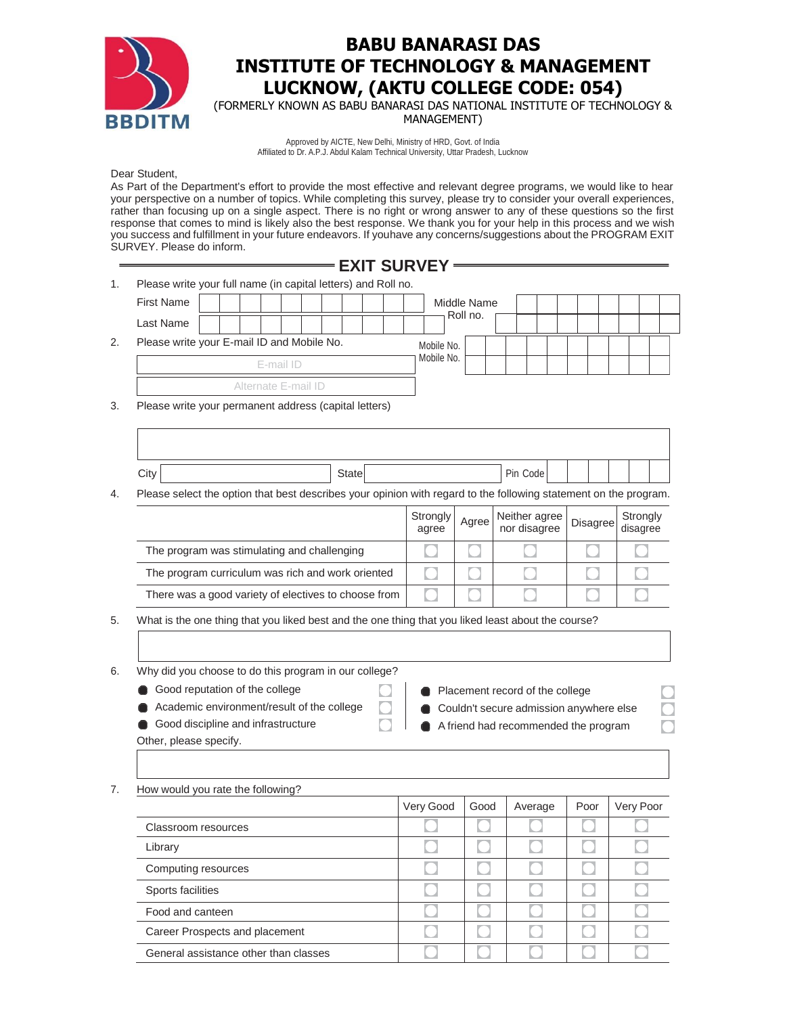

## **BABU BANARASI DAS INSTITUTE OF TECHNOLOGY & MANAGEMENT LUCKNOW, (AKTU COLLEGE CODE: 054)**

(FORMERLY KNOWN AS BABU BANARASI DAS NATIONAL INSTITUTE OF TECHNOLOGY & MANAGEMENT)

Approved by AICTE, New Delhi, Ministry of HRD, Govt. of India Affiliated to Dr. A.P.J. Abdul Kalam Technical University, Uttar Pradesh, Lucknow

Dear Student,

As Part of the Department's effort to provide the most effective and relevant degree programs, we would like to hear your perspective on a number of topics. While completing this survey, please try to consider your overall experiences, rather than focusing up on a single aspect. There is no right or wrong answer to any of these questions so the first response that comes to mind is likely also the best response. We thank you for your help in this process and we wish you success and fulfillment in your future endeavors. If youhave any concerns/suggestions about the PROGRAM EXIT SURVEY. Please do inform.

## **EXIT SURVEY**

1. Please write your full name (in capital letters) and Roll no.

|    | <b>First Name</b>                          |                     |  |  |           |  |  |            |  |  | Middle Name |  |  |  |  |  |  |
|----|--------------------------------------------|---------------------|--|--|-----------|--|--|------------|--|--|-------------|--|--|--|--|--|--|
|    | Last Name                                  |                     |  |  |           |  |  |            |  |  | Roll no.    |  |  |  |  |  |  |
| 2. | Please write your E-mail ID and Mobile No. |                     |  |  |           |  |  | Mobile No. |  |  |             |  |  |  |  |  |  |
|    |                                            |                     |  |  | E-mail ID |  |  |            |  |  | Mobile No.  |  |  |  |  |  |  |
|    |                                            | Alternate E-mail ID |  |  |           |  |  |            |  |  |             |  |  |  |  |  |  |

3. Please write your permanent address (capital letters)

Food and canteen

Career Prospects and placement General assistance other than classes

| City<br><b>State</b>                                                                                                                                                                                                                                                                                                        |  |                   | Pin Code |                               |          |                      |  |  |  |
|-----------------------------------------------------------------------------------------------------------------------------------------------------------------------------------------------------------------------------------------------------------------------------------------------------------------------------|--|-------------------|----------|-------------------------------|----------|----------------------|--|--|--|
| Please select the option that best describes your opinion with regard to the following statement on the program.                                                                                                                                                                                                            |  |                   |          |                               |          |                      |  |  |  |
|                                                                                                                                                                                                                                                                                                                             |  | Strongly<br>agree | Agree    | Neither agree<br>nor disagree | Disagree | Strongly<br>disagree |  |  |  |
| The program was stimulating and challenging                                                                                                                                                                                                                                                                                 |  |                   |          |                               |          |                      |  |  |  |
| The program curriculum was rich and work oriented                                                                                                                                                                                                                                                                           |  |                   |          |                               |          |                      |  |  |  |
| There was a good variety of electives to choose from                                                                                                                                                                                                                                                                        |  |                   |          |                               |          |                      |  |  |  |
| What is the one thing that you liked best and the one thing that you liked least about the course?                                                                                                                                                                                                                          |  |                   |          |                               |          |                      |  |  |  |
| Why did you choose to do this program in our college?<br>Good reputation of the college<br>Placement record of the college<br>Academic environment/result of the college<br>Couldn't secure admission anywhere else<br>Good discipline and infrastructure<br>A friend had recommended the program<br>Other, please specify. |  |                   |          |                               |          |                      |  |  |  |
| How would you rate the following?                                                                                                                                                                                                                                                                                           |  |                   |          |                               |          |                      |  |  |  |
|                                                                                                                                                                                                                                                                                                                             |  | Very Good         | Good     | Average                       | Poor     | Very Poor            |  |  |  |
| Classroom resources                                                                                                                                                                                                                                                                                                         |  |                   |          |                               |          |                      |  |  |  |
| Library                                                                                                                                                                                                                                                                                                                     |  |                   |          |                               |          |                      |  |  |  |
| Computing resources                                                                                                                                                                                                                                                                                                         |  |                   |          |                               |          |                      |  |  |  |
| Sports facilities                                                                                                                                                                                                                                                                                                           |  |                   |          |                               |          |                      |  |  |  |

 $\bigodot$ 

C

 $\bigcirc$ 

 $\bullet$